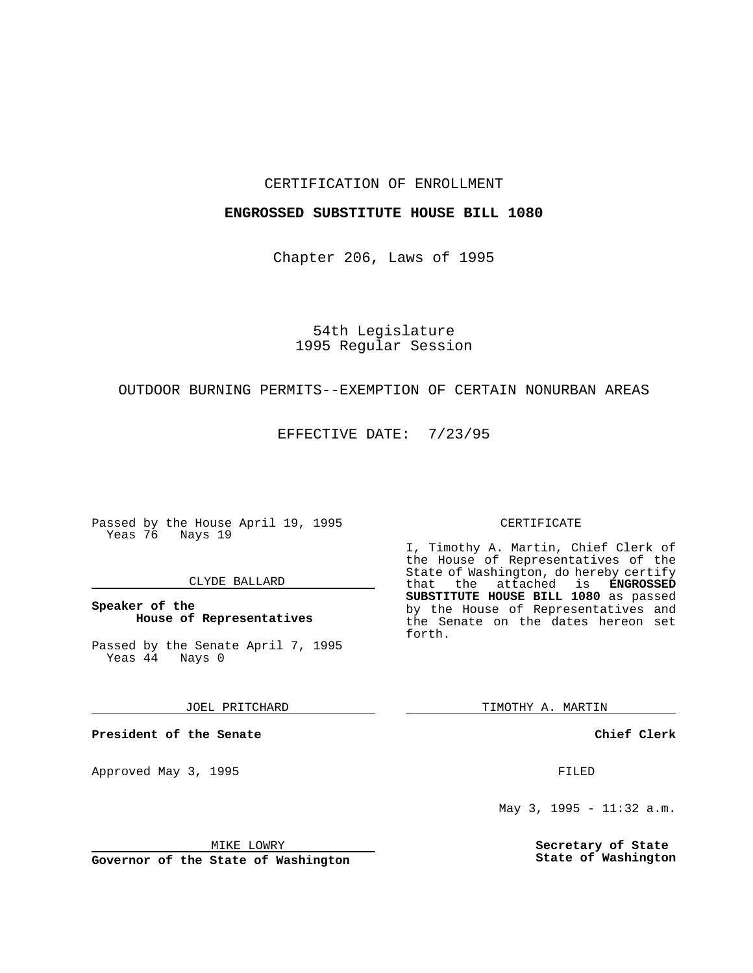#### CERTIFICATION OF ENROLLMENT

#### **ENGROSSED SUBSTITUTE HOUSE BILL 1080**

Chapter 206, Laws of 1995

### 54th Legislature 1995 Regular Session

# OUTDOOR BURNING PERMITS--EXEMPTION OF CERTAIN NONURBAN AREAS

EFFECTIVE DATE: 7/23/95

Passed by the House April 19, 1995 Yeas 76 Nays 19

#### CLYDE BALLARD

**Speaker of the House of Representatives**

Passed by the Senate April 7, 1995<br>Yeas 44 Nays 0  $Yeas$  44

JOEL PRITCHARD

**President of the Senate**

Approved May 3, 1995 **FILED** 

MIKE LOWRY

**Governor of the State of Washington**

#### CERTIFICATE

I, Timothy A. Martin, Chief Clerk of the House of Representatives of the State of Washington, do hereby certify that the attached is **ENGROSSED SUBSTITUTE HOUSE BILL 1080** as passed by the House of Representatives and the Senate on the dates hereon set forth.

TIMOTHY A. MARTIN

**Chief Clerk**

May 3, 1995 - 11:32 a.m.

**Secretary of State State of Washington**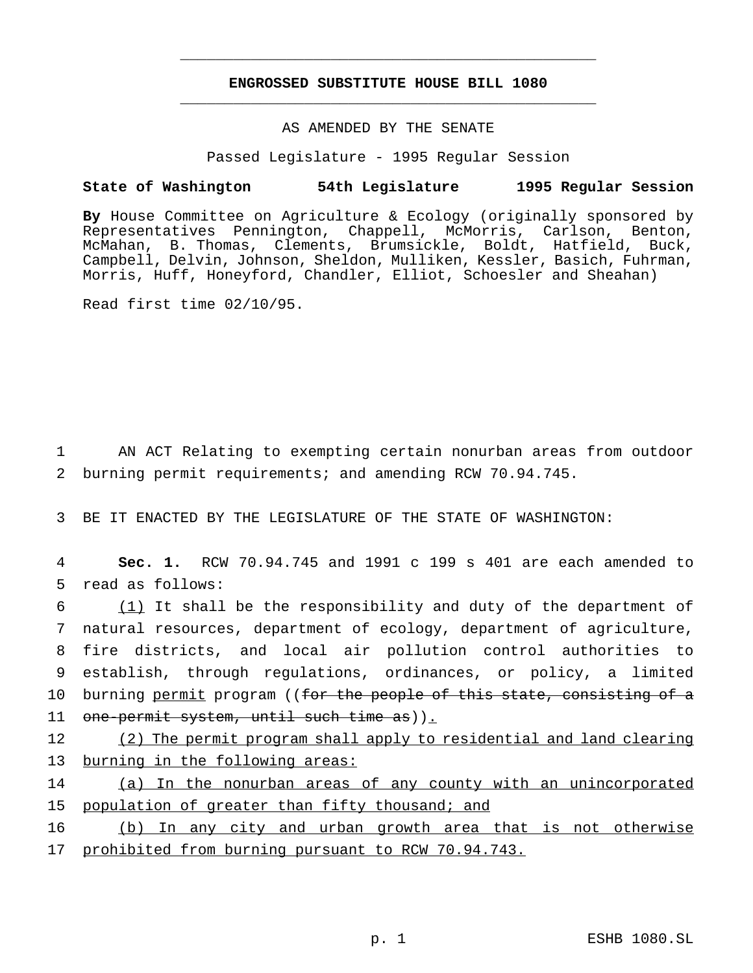## **ENGROSSED SUBSTITUTE HOUSE BILL 1080** \_\_\_\_\_\_\_\_\_\_\_\_\_\_\_\_\_\_\_\_\_\_\_\_\_\_\_\_\_\_\_\_\_\_\_\_\_\_\_\_\_\_\_\_\_\_\_

\_\_\_\_\_\_\_\_\_\_\_\_\_\_\_\_\_\_\_\_\_\_\_\_\_\_\_\_\_\_\_\_\_\_\_\_\_\_\_\_\_\_\_\_\_\_\_

## AS AMENDED BY THE SENATE

Passed Legislature - 1995 Regular Session

### **State of Washington 54th Legislature 1995 Regular Session**

**By** House Committee on Agriculture & Ecology (originally sponsored by Representatives Pennington, Chappell, McMorris, Carlson, Benton, McMahan, B. Thomas, Clements, Brumsickle, Boldt, Hatfield, Buck, Campbell, Delvin, Johnson, Sheldon, Mulliken, Kessler, Basich, Fuhrman, Morris, Huff, Honeyford, Chandler, Elliot, Schoesler and Sheahan)

Read first time 02/10/95.

1 AN ACT Relating to exempting certain nonurban areas from outdoor 2 burning permit requirements; and amending RCW 70.94.745.

3 BE IT ENACTED BY THE LEGISLATURE OF THE STATE OF WASHINGTON:

4 **Sec. 1.** RCW 70.94.745 and 1991 c 199 s 401 are each amended to 5 read as follows:

 (1) It shall be the responsibility and duty of the department of natural resources, department of ecology, department of agriculture, fire districts, and local air pollution control authorities to establish, through regulations, ordinances, or policy, a limited 10 burning permit program ((for the people of this state, consisting of a 11 one-permit system, until such time as)).

12 (2) The permit program shall apply to residential and land clearing 13 burning in the following areas:

14 (a) In the nonurban areas of any county with an unincorporated 15 population of greater than fifty thousand; and

16 (b) In any city and urban growth area that is not otherwise 17 prohibited from burning pursuant to RCW 70.94.743.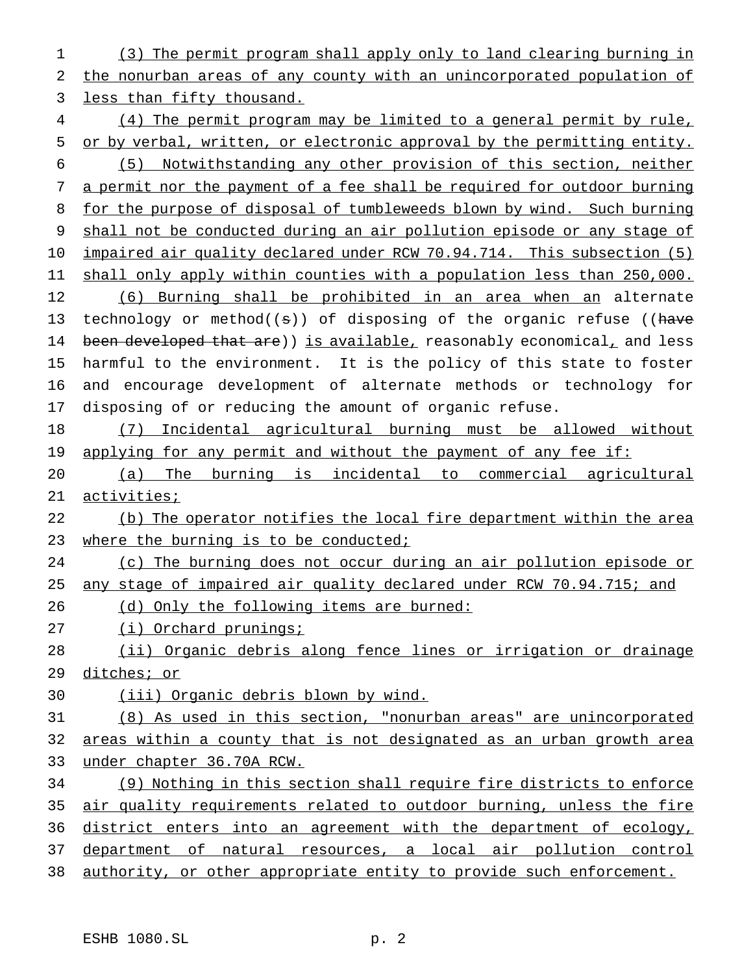(3) The permit program shall apply only to land clearing burning in the nonurban areas of any county with an unincorporated population of less than fifty thousand.

 (4) The permit program may be limited to a general permit by rule, 5 or by verbal, written, or electronic approval by the permitting entity. (5) Notwithstanding any other provision of this section, neither a permit nor the payment of a fee shall be required for outdoor burning for the purpose of disposal of tumbleweeds blown by wind. Such burning shall not be conducted during an air pollution episode or any stage of 10 impaired air quality declared under RCW 70.94.714. This subsection (5) shall only apply within counties with a population less than 250,000. (6) Burning shall be prohibited in an area when an alternate 13 technology or method( $(\theta)$ ) of disposing of the organic refuse ((have 14 been developed that are)) is available, reasonably economical, and less harmful to the environment. It is the policy of this state to foster and encourage development of alternate methods or technology for disposing of or reducing the amount of organic refuse.

 (7) Incidental agricultural burning must be allowed without 19 applying for any permit and without the payment of any fee if:

 (a) The burning is incidental to commercial agricultural activities;

 (b) The operator notifies the local fire department within the area 23 where the burning is to be conducted;

(c) The burning does not occur during an air pollution episode or

any stage of impaired air quality declared under RCW 70.94.715; and

26 (d) Only the following items are burned:

(i) Orchard prunings;

 (ii) Organic debris along fence lines or irrigation or drainage ditches; or

(iii) Organic debris blown by wind.

(8) As used in this section, "nonurban areas" are unincorporated

 areas within a county that is not designated as an urban growth area under chapter 36.70A RCW.

 (9) Nothing in this section shall require fire districts to enforce air quality requirements related to outdoor burning, unless the fire 36 district enters into an agreement with the department of ecology, department of natural resources, a local air pollution control

authority, or other appropriate entity to provide such enforcement.